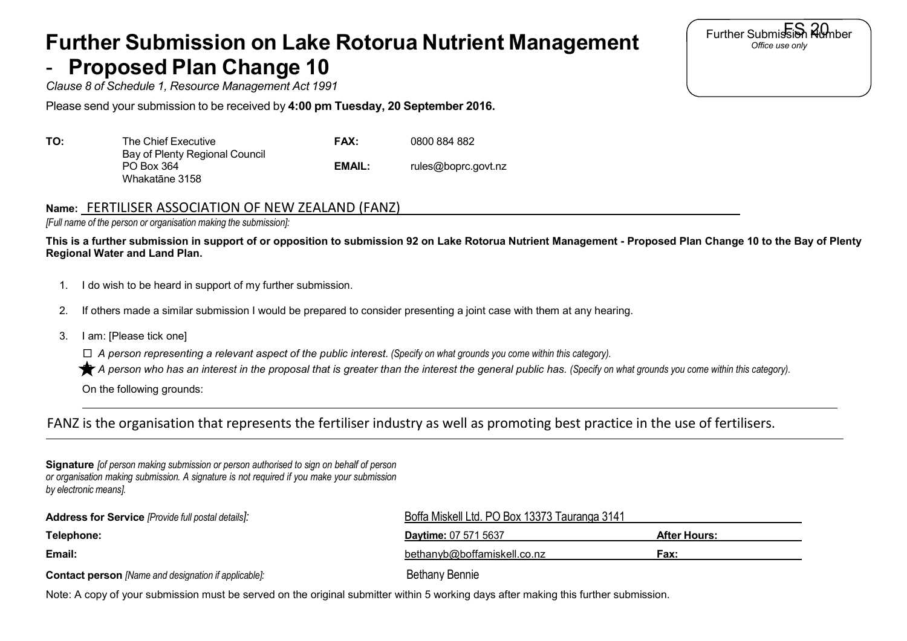## **Further Submission on Lake Rotorua Nutrient Management Proposed Plan Change 10**

*Clause 8 of Schedule 1, Resource Management Act 1991*

Please send your submission to be received by **4:00 pm Tuesday, 20 September 2016.**

| TO: | The Chief Executive                                            | <b>FAX:</b> | 0800 884 882        |
|-----|----------------------------------------------------------------|-------------|---------------------|
|     | Bay of Plenty Regional Council<br>PO Box 364<br>Whakatāne 3158 | EMAIL:      | rules@boprc.govt.nz |

## **Name:** FERTILISER ASSOCIATION OF NEW ZEALAND (FANZ)

*[Full name of the person or organisation making the submission]:*

**This is a further submission in support of or opposition to submission 92 on Lake Rotorua Nutrient Management - Proposed Plan Change 10 to the Bay of Plenty Regional Water and Land Plan.**

- 1. I do wish to be heard in support of my further submission.
- 2. If others made a similar submission I would be prepared to consider presenting a joint case with them at any hearing.
- 3. I am: [Please tick one]

□ *A person representing a relevant aspect of the public interest. (Specify on what grounds you come within this category).*

A person who has an interest in the proposal that is greater than the interest the general public has. (Specify on what grounds you come within this category).

On the following grounds:

## FANZ is the organisation that represents the fertiliser industry as well as promoting best practice in the use of fertilisers.

| <b>Signature</b> fof person making submission or person authorised to sign on behalf of person |
|------------------------------------------------------------------------------------------------|
| or organisation making submission. A signature is not required if you make your submission     |
| by electronic means].                                                                          |

| <b>Address for Service</b> [Provide full postal details]:   | Boffa Miskell Ltd. PO Box 13373 Tauranga 3141 |                     |  |
|-------------------------------------------------------------|-----------------------------------------------|---------------------|--|
| Telephone:                                                  | <b>Daytime: 07 571 5637</b>                   | <b>After Hours:</b> |  |
| Email:                                                      | bethanyb@boffamiskell.co.nz                   | Fax:                |  |
| <b>Contact person</b> [Name and designation if applicable]: | <b>Bethany Bennie</b>                         |                     |  |

Further Submission Rumber *Office use only*

Note: A copy of your submission must be served on the original submitter within 5 working days after making this further submission.